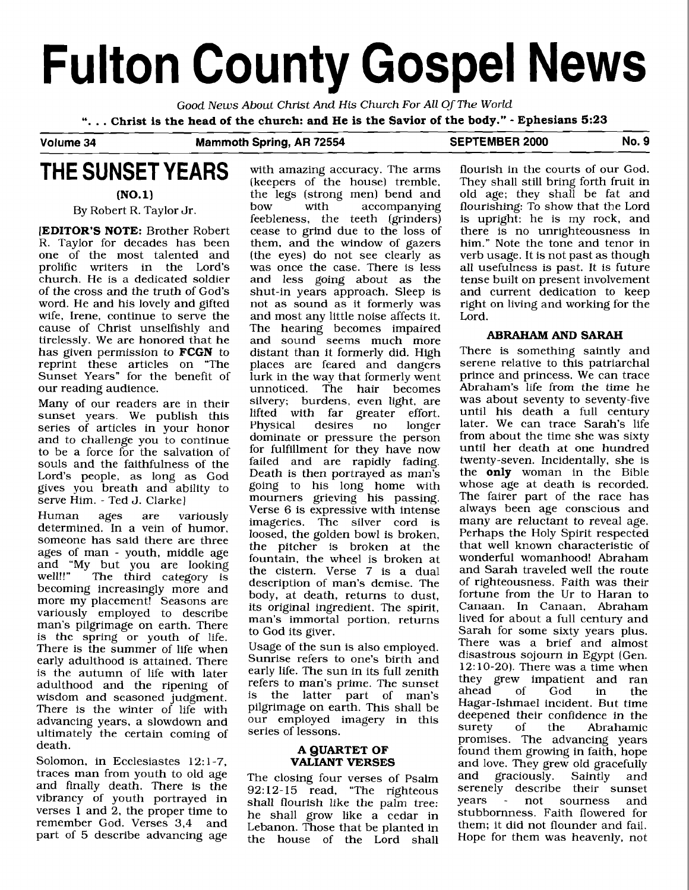# **Fulton County Gospel News**

Good **News** About Christ And **His** Church For All Of The World

". . . **Christ is the head of the church: and He is the Savior of the body."** - **Ephesians 5:23** 

#### Volume 34 Mammoth Spring, AR 72554 SEPTEMBER 2000 No. 9

## **THE SUNSET YEARS**

**(NO. 1)** 

By Robert R. Taylor Jr

**[EDITOR'S NOTE:** Brother Robert **R.** Taylor for decades has been one of the most talented and prolific writers in the Lord's church. He is a dedicated soldier of the cross and the truth of God's word. He and his lovely and gifted wife, Irene, continue to serve the cause of Christ unselfishly and tirelessly. We are honored that he has given permission to **FCGN** to reprint these articles on "The Sunset Years" for the benefit of our reading audience.

Many of our readers are in their sunset years. We publish this series of articles in your honor and to challenge you to continue to be a force for the salvation of souls and the faithfulness of the Lord's people, as long as God gives you breath and ability to serve Him. - Ted J. Clarke]

Human ages are variously determined. In a vein of humor, someone has said there are three ages of man - youth, middle age and "My but you are looking well!!" The third category is becoming increasingly more and more my placement! Seasons are variously employed to describe man's pilgrimage on earth. There is the spring or youth of life. There is the summer of life when early adulthood is attained. There is the autumn of life with later adulthood and the ripening of wisdom and seasoned judgment. There is the winter of life with advancing years, a slowdown and ultimately the certain coming of death.

Solomon, in Ecclesiastes 12:1-7, traces man from youth to old age and finally death. There is the vibrancy of youth portrayed in verses 1 and 2, the proper time to remember God. Verses 3,4 and part of 5 describe advancing age with amazing accuracy. The arms (keepers of the house) tremble, the legs (strong men) bend and<br>how with accompanying accompanying feebleness, the teeth (grinders) cease to grind due to the loss of them, and the window of gazers (the eyes) do not see clearly as was once the case. There is less and less going about as the shut-in years approach. Sleep is not as sound as it formerly was and most any little noise affects it. The hearing becomes impaired and sound seems much more distant than it formerly did. High places are feared and dangers lurk in the way that formerly went unnoticed. The hair becomes silvery; burdens, even light, are lifted with far greater effort.<br>Physical desires no longer Physical dominate or pressure the person for fulfillment for they have now failed and are rapidly fading. Death is then portrayed as man's going to his long home with mourners grieving his passing. Verse 6 is expressive with intense imageries. The silver cord is loosed, the golden bowl is broken, the pitcher is broken at the fountain, the wheel is broken at the cistern. Verse 7 is a dual description of man's demise. The body, at death, returns to dust, its original ingredient. The spirit, man's immortal portion, returns to God its giver.

Usage of the sun is also employed. Sunrise refers to one's birth and early life. The sun in its full zenith refers to man's prime. The sunset<br>is the latter part of man's the latter part of man's pilgrimage on earth. This shall be our employed imagery in this series of lessons.

#### **A QUARTET OF VALIANT VERSES**

The closing four verses of Psalm 92: 12- 15 read, "The righteous shall flourish like the palm tree: he shall grow like a cedar in Lebanon. Those that be planted in the house of the Lord shall flourish in the courts of our God. They shall still bring forth fruit in old age; they shall be fat and flourishing: To show that the Lord is upright: he is my rock, and there is no unrighteousness in him." Note the tone and tenor in verb usage. It is not past as though all usefulness is past. It is future tense built on present involvement and current dedication to keep right on living and working for the Lord.

#### **ABRAHAM AND SARAH**

There is something saintly and serene relative to this patriarchal prince and princess. We can trace Abraham's life from the time he was about seventy to seventy-five until his death a full century later. We can trace Sarah's life from about the time she was sixty until her death at one hundred twenty-seven. Incidentally, she is the **only** woman in the Bible whose age at death is recorded. The fairer part of the race has always been age conscious and many are reluctant to reveal age. Perhaps the Holy Spirit respected that well known characteristic of wonderful womanhood! Abraham and Sarah traveled well the route of righteousness. Faith was their fortune from the Ur to Haran to Canaan. In Canaan, Abraham lived for about a full century and Sarah for some sixty years plus. There was a brief and almost disastrous sojourn in Egypt (Gen. 12: 10-20). There was a time when they grew impatient and ran<br>ahead of God in the ahead of God in the Hagar-Ishmael incident. But time deepened their confidence in the<br>surety of the Abrahamic Abrahamic promises. The advancing years found them growing in faith, hope and love. They grew old gracefully<br>and graciously. Saintly and  $gravious\bar{dv}$ . Saintly and serenely describe their sunset years - not sourness and stubbornness. Faith flowered for them; it did not flounder and fail. Hope for them was heavenly, not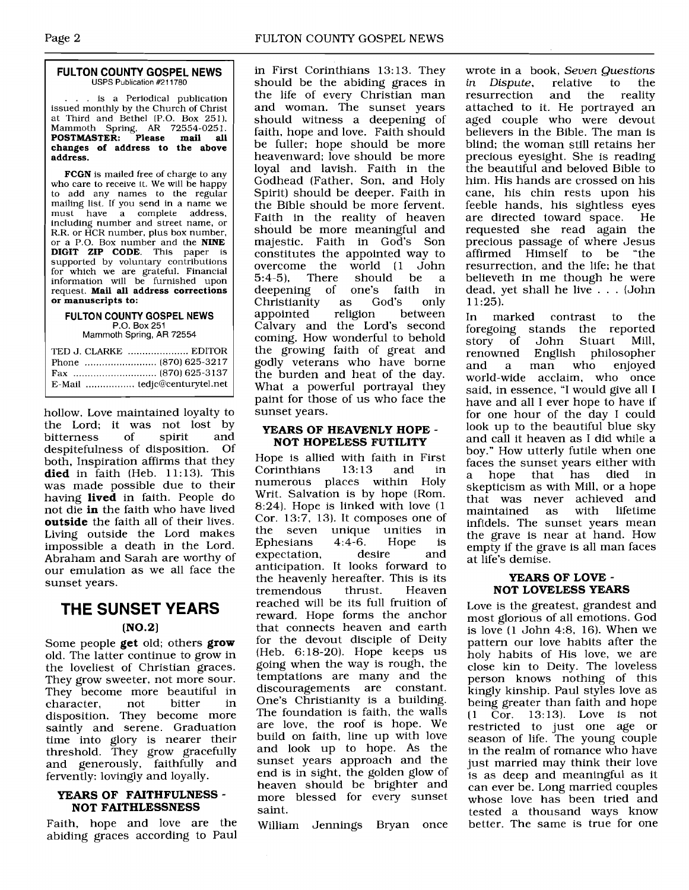#### **FULTON COUNTY GOSPEL NEWS USPS Publication #211780**

... is a Periodical publication issued monthly by the Church of Christ at Third and Bethel (P.O. Box 251). Mammoth Spring, AR 72554-025 1. **POSTMASTER: Please mail all changes of address to the above address.** 

**FCGN** is mailed free of charge to any who care to receive it. We will be happy to add any names to the regular mailing list. If you send in a name we<br>must have a complete address, have a complete including number and street name, or R.R. or HCR number, plus box number, or a P.O. Box number and the **NINE DIGIT ZIP CODE.** This paper is supported by voluntary contributions for which we are grateful. Financial information will be furnished upon request. **Mail all address corrections or manuscripts to:** 

#### **FULTON COUNTY GOSPEL NEWS**  P.O. Box 251 Mammoth Spring, **AR** 72554

| TED J. CLARKE  EDITOR |
|-----------------------|
|                       |
|                       |
|                       |

hollow. Love maintained loyalty to the Lord; it was not lost by<br>bitterness of spirit and bitterness of spirit and<br>despitefulness of disposition Of despitefulness of disposition. both, Inspiration affirms that they **died** in faith (Heb. 11:13). This was made possible due to their having **lived** in faith. People do not die **in** the faith who have lived **outside** the faith all of their lives. Living outside the Lord makes impossible a death in the Lord. Abraham and Sarah are worthy of our emulation as we all face the sunset years.

## **THE SUNSET YEARS**

#### $(NO.2)$

Some people **get** old; others **grow**  old. The latter continue to grow in the loveliest of Christian graces. They grow sweeter, not more sour. They become more beautiful in<br>character. not bitter in character, not bitter in disposition. They become more saintly and serene. Graduation time into glory is nearer their threshold. They grow gracefully and generously, faithfully and fervently: lovingly and loyally.

#### **YEARS OF FAITHFULNESS** - **NOT FAITHLESSNESS**

Faith, hope and love are the abiding graces according to Paul

in First Corinthians 13: 13. They should be the abiding graces in the life of every Christian man and woman. The sunset years should witness a deepening of faith, hope and love. Faith should be fuller; hope should be more heavenward; love should be more loyal and lavish. Faith in the Godhead (Father, Son, and Holy Spirit) should be deeper. Faith in the Bible should be more fervent. Faith in the reality of heaven should be more meaningful and majestic. Faith in God's Son constitutes the appointed way to<br>overcome the world (1 John overcome the world (1 John<br>5:4-5), There should be a should be<br>one's faith deepening of one's faith in Christianity as God's only appointed Calvary and the Lord's second coming. How wonderful to behold the growing faith of great and godly veterans who have borne the burden and heat of the day. What a powerful portrayal they paint for those of us who face the sunset years.

#### **YEARS OF HEAVENLY HOPE** - **NOT HOPELESS FUTILITY**

Hope is allied with faith in First Corinthians 13:13 and in numerous places within Writ. Salvation is by hope (Rom. 8:24). Hope is linked with love (1 Cor. 13:7, 13). It composes one of<br>the seven unique unities in the seven unique unities in<br>Ephesians 4:4-6. Hope is Ephesians 4:4-6. Hope is<br>expectation, desire and expectation, anticipation. It looks forward to the heavenly hereafter. This is its<br>tremendous thrust. Heaven tremendous reached will be its full fruition of reward. Hope forms the anchor that connects heaven and earth for the devout disciple of Deity (Heb. 6:18-20). Hope keeps us going when the way is rough, the temptations are many and the discouragements are constant. One's Christianity is a building. The foundation is faith, the walls are love, the roof is hope. We build on faith, line up with love and look up to hope. As the sunset years approach and the end is in sight, the golden glow of heaven should be brighter and more blessed for every sunset saint.

William Jennings Bryan once

wrote in a book, *Seven Questions in Dispute,* relative to the the reality attached to it. He portrayed an aged couple who were devout believers in the Bible. The man is blind; the woman still retains her precious eyesight. She is reading the beautiful and beloved Bible to him. His hands are crossed on his cane, his chin rests upon his feeble hands, his sightless eyes<br>are directed toward space. He are directed toward space. requested she read again the precious passage of where Jesus affirmed Himself to be "the resurrection, and the life; he that believeth in me though he were dead, yet shall he live ... (John  $11:25$ ).

In marked contrast to the foregoing stands the reported story of John Stuart Mill, English philosopher<br>man who enioved and a man who enjoyed world-wide acclaim, who once said, in essence, "I would give all I have and all I ever hope to have if for one hour of the day I could look up to the beautiful blue sky and call it heaven as I did while a boy." How utterly futile when one faces the sunset years either with<br>a hope that has died in a hope that has skepticism as with Mill, or a hope that was never achieved and maintained infidels. The sunset years mean the grave is near at hand. How empty if the grave is all man faces at life's demise.

#### **YEARS OF LOVE** - **NOT LOVELESS YEARS**

Love is the greatest, grandest and most glorious of all emotions. God is love (1 John 4:8, 16). When we pattern our love habits after the holy habits of His love, we are close kin to Deity. The loveless person knows nothing of this kingly kinship. Paul styles love as being greater than faith and hope (1 Cor. 13:13). Love is not restricted to just one age or season of life. The young couple in the realm of romance who have just married may think their love is as deep and meaningful as it can ever be. Long married couples whose love has been tried and tested a thousand ways know better. The same is true for one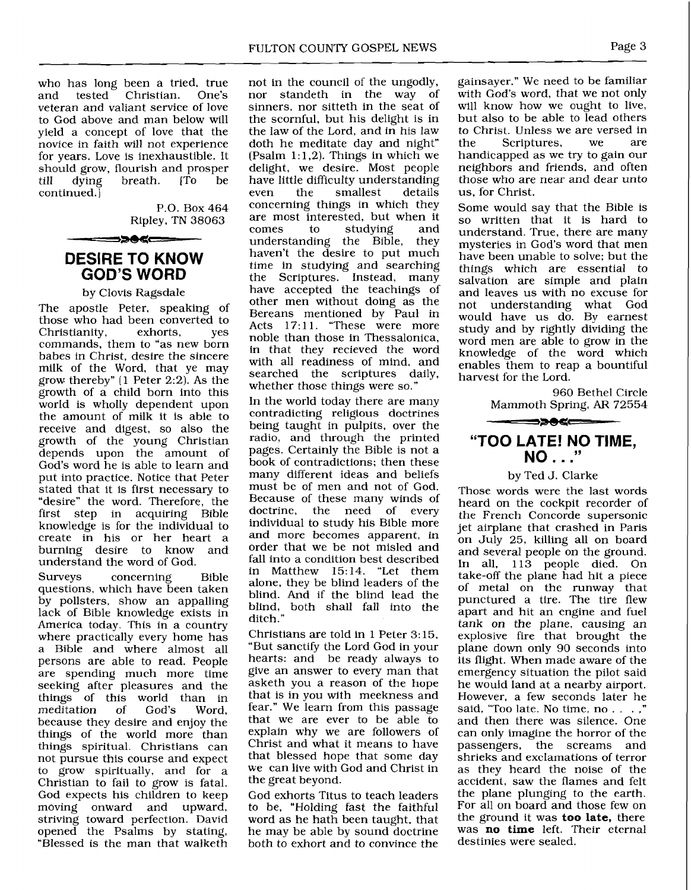who has long been a tried, true<br>and tested Christian. One's Christian. veteran and valiant service of love to God above and man below will yield a concept of love that the novice in faith will not experience for years. Love is inexhaustible. It should grow, flourish and prosper<br>till dying breath. [To be breath. continued. ]

> P.O. Box 464 Ripley, TN 38063

## **DESIRE TO KNOW GOD'S WORD**

══⋑⋑⋪⋖⋿═

#### by Clovis Ragsdale

The apostle Peter, speaking of those who had been converted to<br>Christianity, exhorts, ves Christianity, exhorts, yes commands, them to "as new born babes in Christ, desire the sincere milk of the Word, that ye may grow thereby" (1 Peter 2:2). As the growth of a child born into this world is wholly dependent upon the amount of milk it is able to receive and digest, so also the growth of the young Christian depends upon the amount of God's word he is able to learn and put into practice. Notice that Peter stated that it is first necessary to "desire" the word. Therefore, the first step in acquiring Bible knowledge is for the individual to create in his or her heart a burning desire to know understand the word of God.

Surveys concerning Bible questions, which have been taken by pollsters, show an appalling lack of Bible knowledge exists in America today. This in a country where practically every home has a Bible and where almost all persons are able to read. People are spending much more time seeking after pleasures and the things of this world than in<br>meditation of God's Word. meditation of God's Word, because they desire and enjoy the things of the world more than things spiritual. Christians can not pursue this course and expect to grow spiritually, and for a Christian to fail to grow is fatal. God expects his children to keep moving onward and upward, striving toward perfection. David opened the Psalms by stating, "Blessed is the man that walketh

not in the council of the ungodly, nor standeth in the way of sinners, nor sitteth in the seat of the scornful, but his delight is in the law of the Lord, and in his law doth he meditate day and night" (Psalm  $1:1,2$ ). Things in which we delight, we desire. Most people have little difficulty understanding<br>even the smallest details smallest concerning things in which they are most interested, but when it<br>comes to studying and studying understanding the Bible, they haven't the desire to put much time in studying and searching the Scriptures. Instead, many have accepted the teachings of other men without doing as the Bereans mentioned by Paul in Acts 17:11. "These were more noble than those in Thessalonica, in that they recieved the word with all readiness of mind, and searched the scriptures daily, whether those things were so."

In the world today there are many contradicting religious doctrines being taught in pulpits, over the radio, and through the printed pages. Certainly the Bible is not a book of contradictions; then these many different ideas and beliefs must be of men and not of God. Because of these many winds of doctrine, the need of every individual to study his Bible more and more becomes apparent, in order that we be not misled and fall into a condition best described in Matthew 15:14. "Let them alone, they be blind leaders of the blind. And if the blind lead the blind, both shall fall into the ditch."

Christians are told in 1 Peter **3:** 15, "But sanctify the Lord God in your hearts: and be ready always to give an answer to every man that asketh you a reason of the hope that is in you with meekness and fear." We learn from this passage that we are ever to be able to explain why we are followers of Christ and what it means to have that blessed hope that some day we can live with God and Christ in the great beyond.

God exhorts Titus to teach leaders to be, "Holding fast the faithful word as he hath been taught, that he may be able by sound doctrine both to exhort and to convince the

gainsayer." We need to be familiar with God's word, that we not only will know how we ought to live, but also to be able to lead others to Christ. Unless we are versed in Scriptures, handicapped as we try to gain our neighbors and friends, and often those who are near and dear unto us, for Christ.

Some would say that the Bible is so written that it is hard to understand. True, there are many mysteries in God's word that men have been unable to solve; but the things which are essential to salvation are simple and plain and leaves us with no excuse for not understanding what God would have us do. By earnest study and by rightly dividing the word men are able to grow in the knowledge of the word which enables them to reap a bountiful harvest for the Lord.

> 960 Bethel Circle Mammoth Spring, AR 72554

### **"TOO LATE! NO TIME, NO** . . ."

#### by Ted J. Clarke

Those words were the last words heard on the cockpit recorder of the French Concorde supersonic jet airplane that crashed in Paris on July 25, killing all on board and several people on the ground. In all, 113 people died. On take-off the plane had hit a piece of metal on the runway that punctured a tire. The tire flew apart and hit an engine and fuel tank on the plane, causing an explosive fire that brought the plane down only 90 seconds into its flight. When made aware of the emergency situation the pilot said he would land at a nearby airport. However, a few seconds later he said, "Too late. No time, no . . . ," and then there was silence. One can only imagine the horror of the passengers, the screams and shrieks and exclamations of terror as they heard the noise of the accident, saw the flames and felt the plane plunging to the earth. For all on board and those few on the ground it was **too late,** there was **no time** left. Their eternal destinies were sealed.